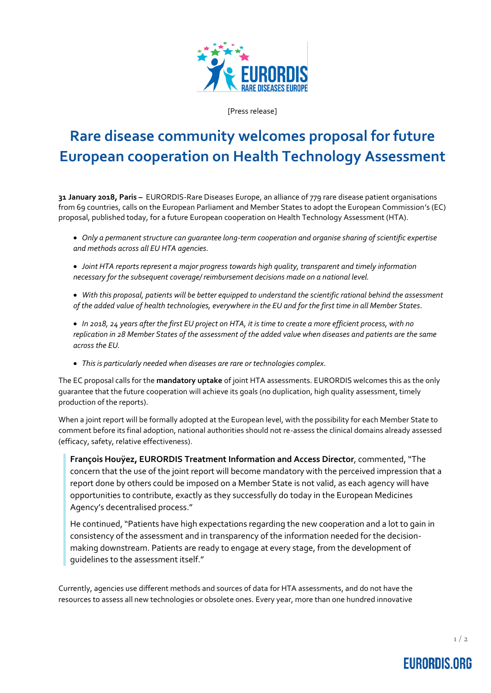

[Press release]

## **Rare disease community welcomes proposal for future European cooperation on Health Technology Assessment**

**31 January 2018, Paris –** EURORDIS-Rare Diseases Europe, an alliance of 779 rare disease patient organisations from 69 countries, calls on the European Parliament and Member States to adopt the European Commission's (EC) proposal, published today, for a future European cooperation on Health Technology Assessment (HTA).

- *Only a permanent structure can guarantee long-term cooperation and organise sharing of scientific expertise and methods across all EU HTA agencies.*
- *Joint HTA reports represent a major progress towards high quality, transparent and timely information necessary for the subsequent coverage/ reimbursement decisions made on a national level.*
- *With this proposal, patients will be better equipped to understand the scientific rational behind the assessment of the added value of health technologies, everywhere in the EU and for the first time in all Member States.*
- *In 2018, 24 years after the first EU project on HTA, it is time to create a more efficient process, with no replication in 28 Member States of the assessment of the added value when diseases and patients are the same across the EU.*
- *This is particularly needed when diseases are rare or technologies complex.*

The EC proposal calls for the **mandatory uptake** of joint HTA assessments. EURORDIS welcomes this as the only guarantee that the future cooperation will achieve its goals (no duplication, high quality assessment, timely production of the reports).

When a joint report will be formally adopted at the European level, with the possibility for each Member State to comment before its final adoption, national authorities should not re-assess the clinical domains already assessed (efficacy, safety, relative effectiveness).

**François Houÿez, EURORDIS Treatment Information and Access Director**, commented,"The concern that the use of the joint report will become mandatory with the perceived impression that a report done by others could be imposed on a Member State is not valid, as each agency will have opportunities to contribute, exactly as they successfully do today in the European Medicines Agency's decentralised process."

He continued, "Patients have high expectations regarding the new cooperation and a lot to gain in consistency of the assessment and in transparency of the information needed for the decisionmaking downstream. Patients are ready to engage at every stage, from the development of guidelines to the assessment itself."

Currently, agencies use different methods and sources of data for HTA assessments, and do not have the resources to assess all new technologies or obsolete ones. Every year, more than one hundred innovative